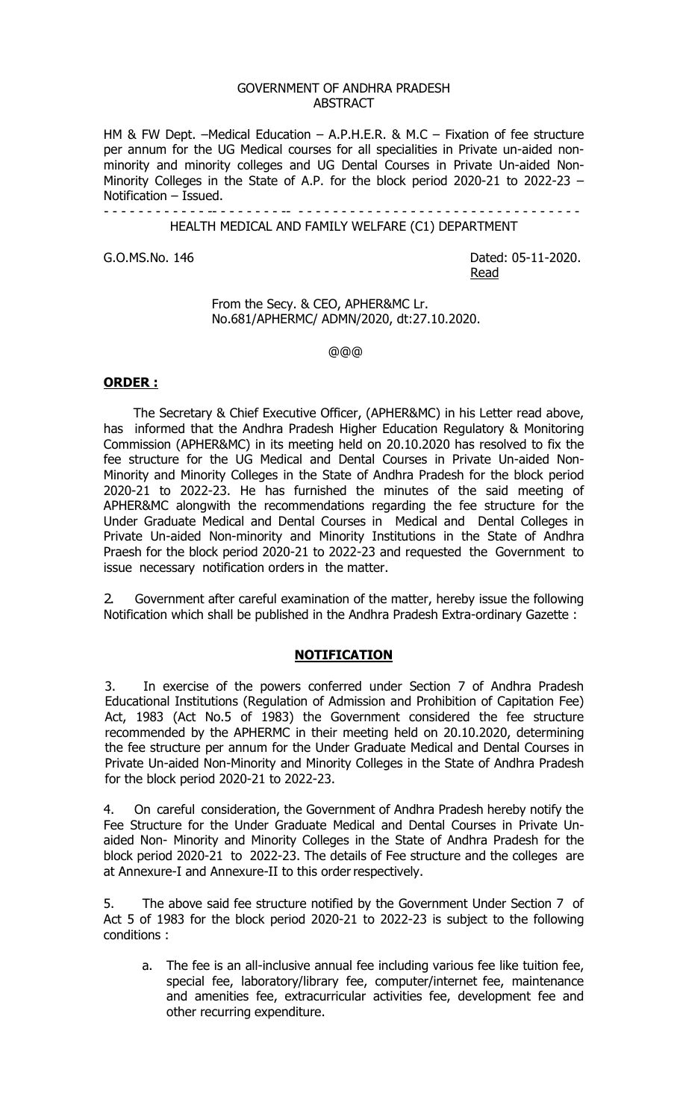#### GOVERNMENT OF ANDHRA PRADESH ABSTRACT

HM & FW Dept. –Medical Education – A.P.H.E.R. & M.C – Fixation of fee structure per annum for the UG Medical courses for all specialities in Private un-aided nonminority and minority colleges and UG Dental Courses in Private Un-aided Non-Minority Colleges in the State of A.P. for the block period 2020-21 to 2022-23 – Notification – Issued.

> - - - - - - - - - - - - -- - - - - - - - -- - - - - - - - - - - - - - - - - - - - - - - - - - - - - - - - - - HEALTH MEDICAL AND FAMILY WELFARE (C1) DEPARTMENT

G.O.MS.No. 146 Dated: 05-11-2020. Read

> From the Secy. & CEO, APHER&MC Lr. No.681/APHERMC/ ADMN/2020, dt:27.10.2020.

> > @@@

### **ORDER :**

The Secretary & Chief Executive Officer, (APHER&MC) in his Letter read above, has informed that the Andhra Pradesh Higher Education Regulatory & Monitoring Commission (APHER&MC) in its meeting held on 20.10.2020 has resolved to fix the fee structure for the UG Medical and Dental Courses in Private Un-aided Non-Minority and Minority Colleges in the State of Andhra Pradesh for the block period 2020-21 to 2022-23. He has furnished the minutes of the said meeting of APHER&MC alongwith the recommendations regarding the fee structure for the Under Graduate Medical and Dental Courses in Medical and Dental Colleges in Private Un-aided Non-minority and Minority Institutions in the State of Andhra Praesh for the block period 2020-21 to 2022-23 and requested the Government to issue necessary notification orders in the matter.

2. Government after careful examination of the matter, hereby issue the following Notification which shall be published in the Andhra Pradesh Extra-ordinary Gazette :

### **NOTIFICATION**

3. In exercise of the powers conferred under Section 7 of Andhra Pradesh Educational Institutions (Regulation of Admission and Prohibition of Capitation Fee) Act, 1983 (Act No.5 of 1983) the Government considered the fee structure recommended by the APHERMC in their meeting held on 20.10.2020, determining the fee structure per annum for the Under Graduate Medical and Dental Courses in Private Un-aided Non-Minority and Minority Colleges in the State of Andhra Pradesh for the block period 2020-21 to 2022-23.

4. On careful consideration, the Government of Andhra Pradesh hereby notify the Fee Structure for the Under Graduate Medical and Dental Courses in Private Unaided Non- Minority and Minority Colleges in the State of Andhra Pradesh for the block period 2020-21 to 2022-23. The details of Fee structure and the colleges are at Annexure-I and Annexure-II to this order respectively.

5. The above said fee structure notified by the Government Under Section 7 of Act 5 of 1983 for the block period 2020-21 to 2022-23 is subject to the following conditions :

a. The fee is an all-inclusive annual fee including various fee like tuition fee, special fee, laboratory/library fee, computer/internet fee, maintenance and amenities fee, extracurricular activities fee, development fee and other recurring expenditure.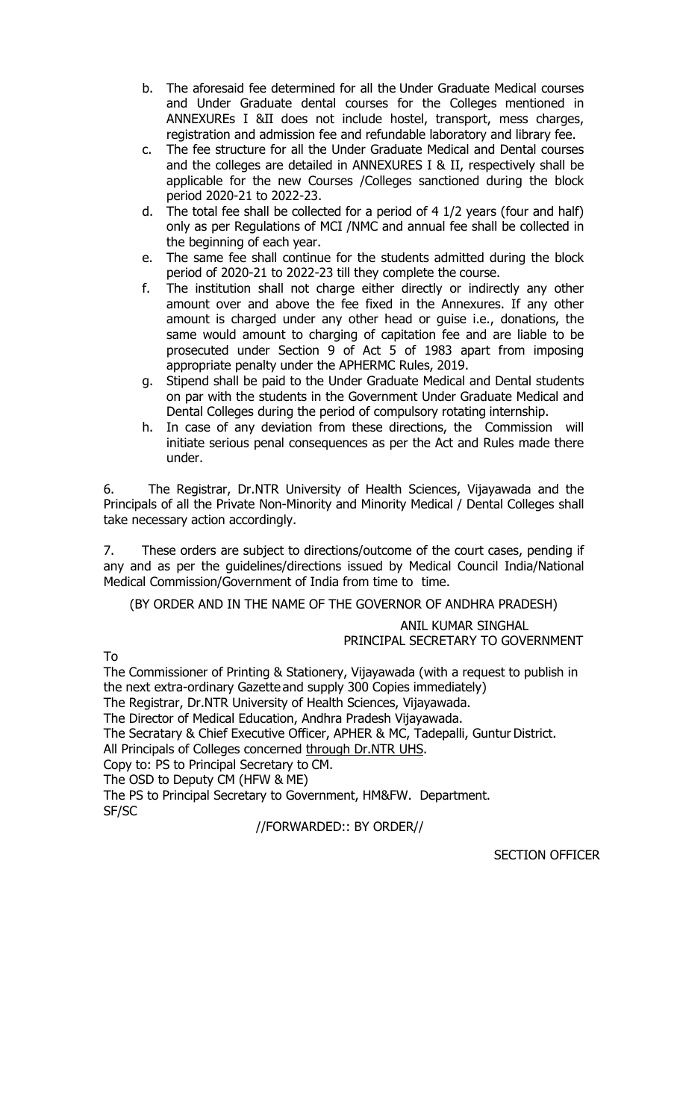- b. The aforesaid fee determined for all the Under Graduate Medical courses and Under Graduate dental courses for the Colleges mentioned in ANNEXUREs I &II does not include hostel, transport, mess charges, registration and admission fee and refundable laboratory and library fee.
- c. The fee structure for all the Under Graduate Medical and Dental courses and the colleges are detailed in ANNEXURES I & II, respectively shall be applicable for the new Courses /Colleges sanctioned during the block period 2020-21 to 2022-23.
- d. The total fee shall be collected for a period of 4 1/2 years (four and half) only as per Regulations of MCI /NMC and annual fee shall be collected in the beginning of each year.
- e. The same fee shall continue for the students admitted during the block period of 2020-21 to 2022-23 till they complete the course.
- f. The institution shall not charge either directly or indirectly any other amount over and above the fee fixed in the Annexures. If any other amount is charged under any other head or guise i.e., donations, the same would amount to charging of capitation fee and are liable to be prosecuted under Section 9 of Act 5 of 1983 apart from imposing appropriate penalty under the APHERMC Rules, 2019.
- g. Stipend shall be paid to the Under Graduate Medical and Dental students on par with the students in the Government Under Graduate Medical and Dental Colleges during the period of compulsory rotating internship.
- h. In case of any deviation from these directions, the Commission will initiate serious penal consequences as per the Act and Rules made there under.

6. The Registrar, Dr.NTR University of Health Sciences, Vijayawada and the Principals of all the Private Non-Minority and Minority Medical / Dental Colleges shall take necessary action accordingly.

7. These orders are subject to directions/outcome of the court cases, pending if any and as per the guidelines/directions issued by Medical Council India/National Medical Commission/Government of India from time to time.

(BY ORDER AND IN THE NAME OF THE GOVERNOR OF ANDHRA PRADESH)

ANIL KUMAR SINGHAL

PRINCIPAL SECRETARY TO GOVERNMENT

To

The Commissioner of Printing & Stationery, Vijayawada (with a request to publish in the next extra-ordinary Gazette and supply 300 Copies immediately)

The Registrar, Dr.NTR University of Health Sciences, Vijayawada.

The Director of Medical Education, Andhra Pradesh Vijayawada.

The Secratary & Chief Executive Officer, APHER & MC, Tadepalli, Guntur District.

All Principals of Colleges concerned through Dr.NTR UHS.

Copy to: PS to Principal Secretary to CM.

The OSD to Deputy CM (HFW & ME)

The PS to Principal Secretary to Government, HM&FW. Department. SF/SC

//FORWARDED:: BY ORDER//

SECTION OFFICER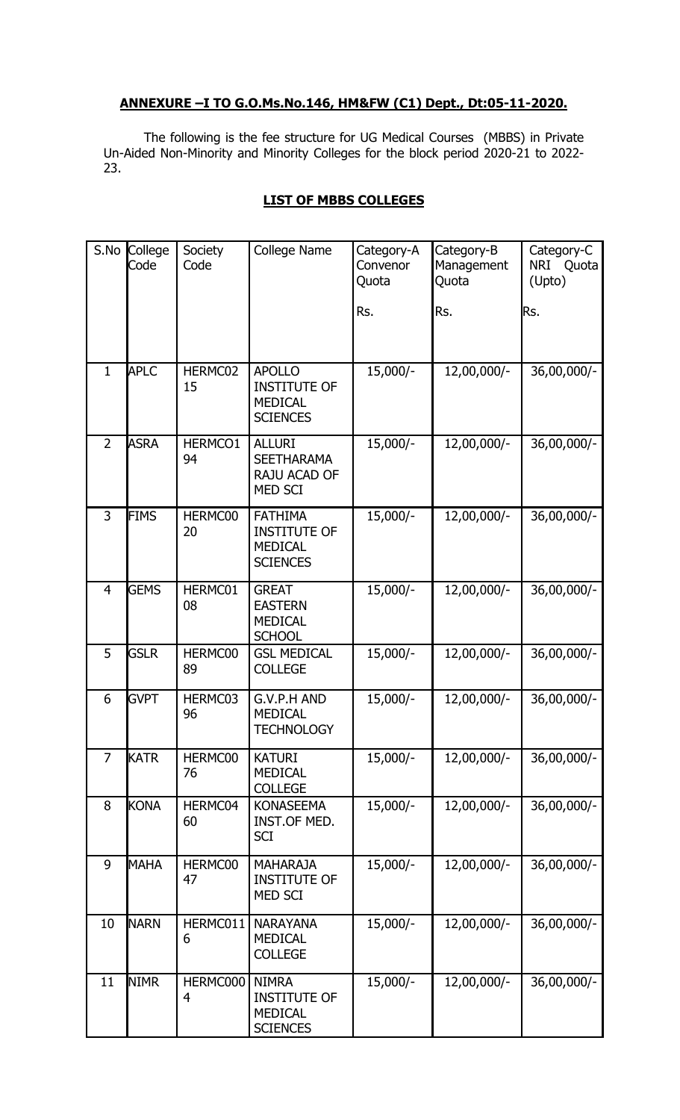## **ANNEXURE –I TO G.O.Ms.No.146, HM&FW (C1) Dept., Dt:05-11-2020.**

 The following is the fee structure for UG Medical Courses (MBBS) in Private Un-Aided Non-Minority and Minority Colleges for the block period 2020-21 to 2022- 23.

### **LIST OF MBBS COLLEGES**

| S.No           | College<br>Code | Society<br>Code | College Name                                                               | Category-A<br>Convenor<br>Quota<br>Rs. | Category-B<br>Management<br>Quota<br>Rs. | Category-C<br>NRI<br>Quota<br>(Upto)<br>Rs. |
|----------------|-----------------|-----------------|----------------------------------------------------------------------------|----------------------------------------|------------------------------------------|---------------------------------------------|
|                |                 |                 |                                                                            |                                        |                                          |                                             |
| $\mathbf{1}$   | <b>APLC</b>     | HERMC02<br>15   | <b>APOLLO</b><br><b>INSTITUTE OF</b><br><b>MEDICAL</b><br><b>SCIENCES</b>  | 15,000/-                               | 12,00,000/-                              | 36,00,000/-                                 |
| $\overline{2}$ | <b>ASRA</b>     | HERMCO1<br>94   | <b>ALLURI</b><br><b>SEETHARAMA</b><br>RAJU ACAD OF<br><b>MED SCI</b>       | 15,000/-                               | 12,00,000/-                              | 36,00,000/-                                 |
| 3              | <b>FIMS</b>     | HERMC00<br>20   | <b>FATHIMA</b><br><b>INSTITUTE OF</b><br><b>MEDICAL</b><br><b>SCIENCES</b> | 15,000/-                               | 12,00,000/-                              | 36,00,000/-                                 |
| $\overline{4}$ | <b>GEMS</b>     | HERMC01<br>08   | <b>GREAT</b><br><b>EASTERN</b><br><b>MEDICAL</b><br><b>SCHOOL</b>          | 15,000/-                               | 12,00,000/-                              | 36,00,000/-                                 |
| 5              | <b>GSLR</b>     | HERMC00<br>89   | <b>GSL MEDICAL</b><br><b>COLLEGE</b>                                       | 15,000/-                               | 12,00,000/-                              | $36,00,000/-$                               |
| 6              | <b>GVPT</b>     | HERMC03<br>96   | G.V.P.H AND<br><b>MEDICAL</b><br><b>TECHNOLOGY</b>                         | 15,000/-                               | 12,00,000/-                              | 36,00,000/-                                 |
| $\overline{7}$ | <b>KATR</b>     | HERMC00<br>76   | <b>KATURI</b><br><b>MEDICAL</b><br><b>COLLEGE</b>                          | 15,000/-                               | 12,00,000/-                              | 36,00,000/-                                 |
| 8              | <b>KONA</b>     | HERMC04<br>60   | <b>KONASEEMA</b><br>INST.OF MED.<br><b>SCI</b>                             | 15,000/-                               | 12,00,000/-                              | 36,00,000/-                                 |
| 9              | <b>MAHA</b>     | HERMC00<br>47   | <b>MAHARAJA</b><br><b>INSTITUTE OF</b><br><b>MED SCI</b>                   | 15,000/-                               | 12,00,000/-                              | 36,00,000/-                                 |
| 10             | <b>NARN</b>     | HERMC011<br>6   | <b>NARAYANA</b><br><b>MEDICAL</b><br><b>COLLEGE</b>                        | 15,000/-                               | 12,00,000/-                              | 36,00,000/-                                 |
| 11             | <b>NIMR</b>     | HERMC000<br>4   | <b>NIMRA</b><br><b>INSTITUTE OF</b><br><b>MEDICAL</b><br><b>SCIENCES</b>   | 15,000/-                               | 12,00,000/-                              | 36,00,000/-                                 |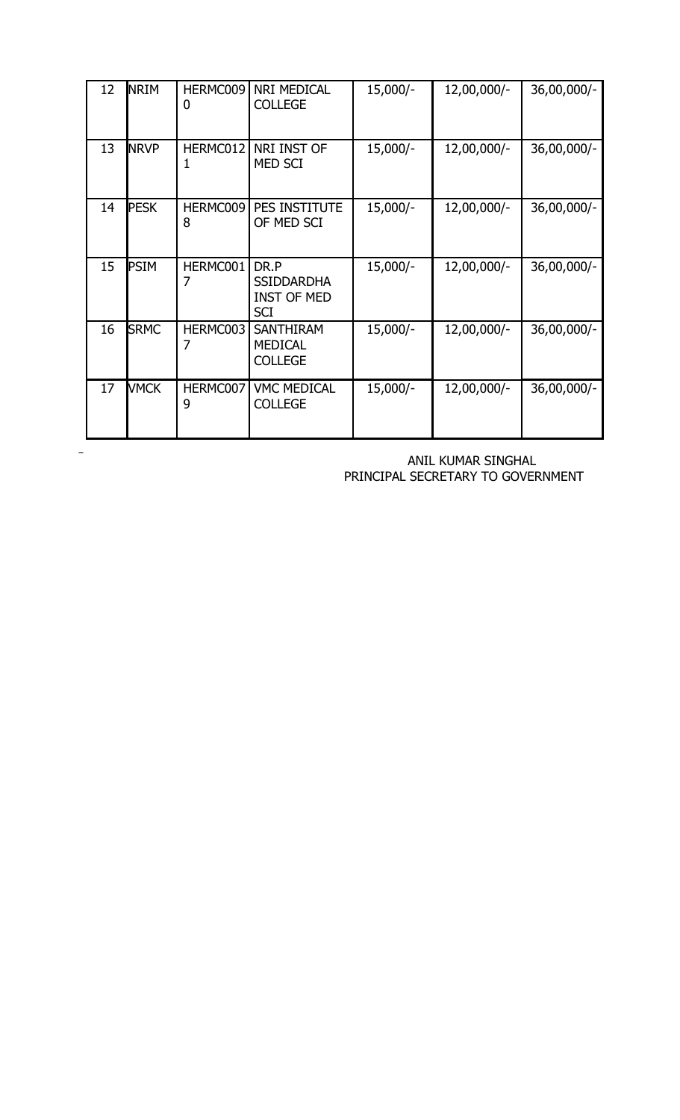| 12 | <b>NRIM</b> | HERMC009<br>0 | NRI MEDICAL<br><b>COLLEGE</b>                                 | 15,000/- | 12,00,000/- | 36,00,000/- |
|----|-------------|---------------|---------------------------------------------------------------|----------|-------------|-------------|
| 13 | <b>NRVP</b> | HERMC012<br>1 | NRI INST OF<br>MED SCI                                        | 15,000/- | 12,00,000/- | 36,00,000/- |
| 14 | <b>PESK</b> | HERMC009<br>8 | PES INSTITUTE<br>OF MED SCI                                   | 15,000/- | 12,00,000/- | 36,00,000/- |
| 15 | <b>PSIM</b> | HERMC001<br>7 | DR.P<br><b>SSIDDARDHA</b><br><b>INST OF MED</b><br><b>SCI</b> | 15,000/- | 12,00,000/- | 36,00,000/- |
| 16 | <b>SRMC</b> | HERMC003<br>7 | <b>SANTHIRAM</b><br><b>MEDICAL</b><br><b>COLLEGE</b>          | 15,000/- | 12,00,000/- | 36,00,000/- |
| 17 | <b>VMCK</b> | HERMC007<br>9 | <b>VMC MEDICAL</b><br><b>COLLEGE</b>                          | 15,000/- | 12,00,000/- | 36,00,000/- |

 ANIL KUMAR SINGHAL PRINCIPAL SECRETARY TO GOVERNMENT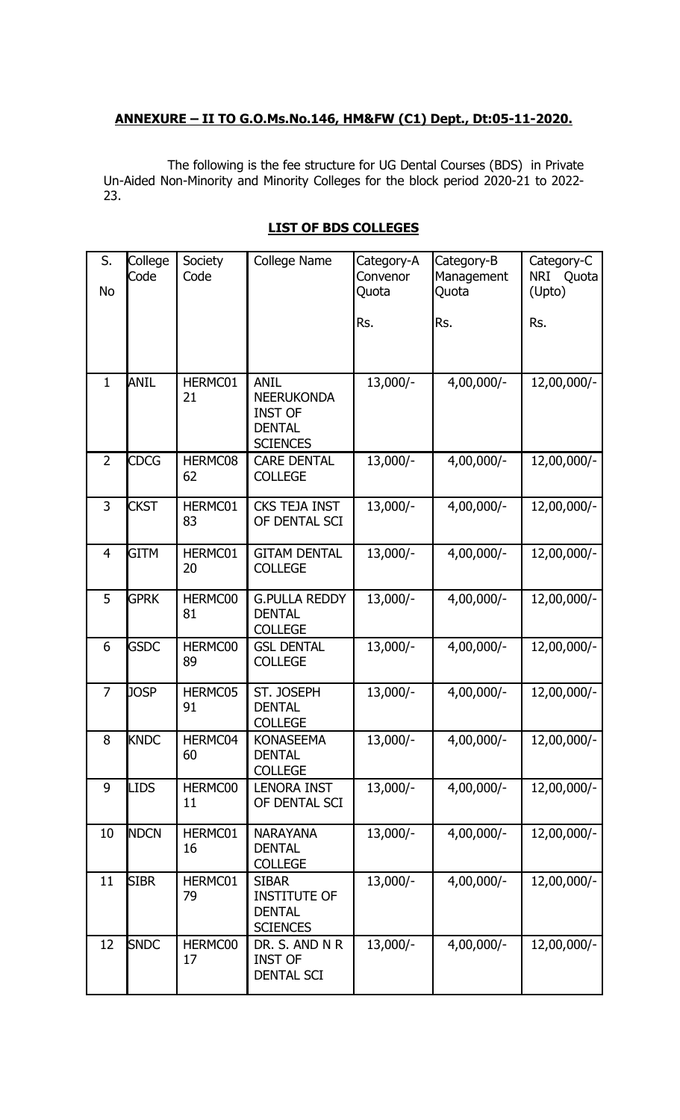# **ANNEXURE – II TO G.O.Ms.No.146, HM&FW (C1) Dept., Dt:05-11-2020.**

The following is the fee structure for UG Dental Courses (BDS) in Private Un-Aided Non-Minority and Minority Colleges for the block period 2020-21 to 2022- 23.

| S.<br><b>No</b> | College<br>Code | Society<br>Code | College Name                                                                           | Category-A<br>Convenor<br>Quota | Category-B<br>Management<br>Quota | Category-C<br>NRI<br>Quota<br>(Upto) |
|-----------------|-----------------|-----------------|----------------------------------------------------------------------------------------|---------------------------------|-----------------------------------|--------------------------------------|
|                 |                 |                 |                                                                                        | Rs.                             | Rs.                               | Rs.                                  |
| $\mathbf{1}$    | <b>ANIL</b>     | HERMC01<br>21   | <b>ANIL</b><br><b>NEERUKONDA</b><br><b>INST OF</b><br><b>DENTAL</b><br><b>SCIENCES</b> | 13,000/-                        | 4,00,000/-                        | 12,00,000/-                          |
| $\overline{2}$  | <b>CDCG</b>     | HERMC08<br>62   | <b>CARE DENTAL</b><br><b>COLLEGE</b>                                                   | 13,000/-                        | 4,00,000/-                        | 12,00,000/-                          |
| $\overline{3}$  | <b>CKST</b>     | HERMC01<br>83   | <b>CKS TEJA INST</b><br>OF DENTAL SCI                                                  | 13,000/-                        | $4,00,000/-$                      | 12,00,000/-                          |
| $\overline{4}$  | <b>GITM</b>     | HERMC01<br>20   | <b>GITAM DENTAL</b><br><b>COLLEGE</b>                                                  | 13,000/-                        | $4,00,000/-$                      | 12,00,000/-                          |
| 5               | <b>GPRK</b>     | HERMC00<br>81   | <b>G.PULLA REDDY</b><br><b>DENTAL</b><br><b>COLLEGE</b>                                | 13,000/-                        | $4,00,000/-$                      | 12,00,000/-                          |
| 6               | <b>GSDC</b>     | HERMC00<br>89   | <b>GSL DENTAL</b><br><b>COLLEGE</b>                                                    | 13,000/-                        | $4,00,000/-$                      | 12,00,000/-                          |
| $\overline{7}$  | <b>JOSP</b>     | HERMC05<br>91   | ST. JOSEPH<br><b>DENTAL</b><br><b>COLLEGE</b>                                          | 13,000/-                        | $4,00,000/-$                      | 12,00,000/-                          |
| 8               | <b>KNDC</b>     | HERMC04<br>60   | <b>KONASEEMA</b><br><b>DENTAL</b><br><b>COLLEGE</b>                                    | 13,000/-                        | 4,00,000/-                        | 12,00,000/-                          |
| 9               | <b>LIDS</b>     | HERMC00<br>11   | <b>LENORA INST</b><br>OF DENTAL SCI                                                    | 13,000/-                        | 4,00,000/-                        | 12,00,000/-                          |
| 10              | <b>NDCN</b>     | HERMC01<br>16   | <b>NARAYANA</b><br><b>DENTAL</b><br><b>COLLEGE</b>                                     | $13,000/-$                      | $4,00,000/-$                      | 12,00,000/-                          |
| 11              | <b>SIBR</b>     | HERMC01<br>79   | <b>SIBAR</b><br><b>INSTITUTE OF</b><br><b>DENTAL</b><br><b>SCIENCES</b>                | 13,000/-                        | 4,00,000/-                        | 12,00,000/-                          |
| 12              | <b>SNDC</b>     | HERMC00<br>17   | DR. S. AND N R<br><b>INST OF</b><br><b>DENTAL SCI</b>                                  | 13,000/-                        | $4,00,000/-$                      | 12,00,000/-                          |

# **LIST OF BDS COLLEGES**